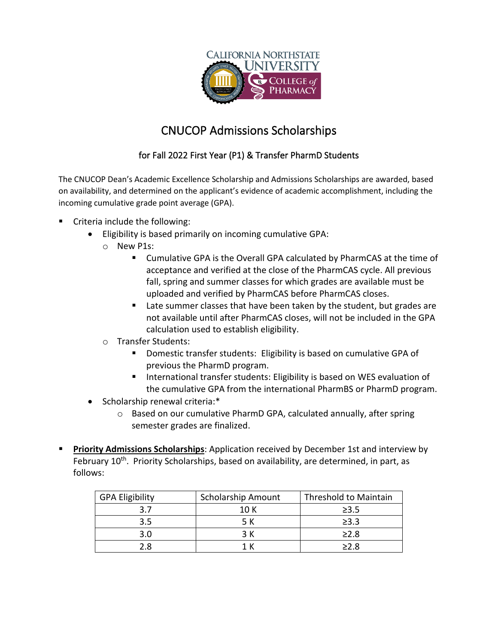

## CNUCOP Admissions Scholarships

## for Fall 2022 First Year (P1) & Transfer PharmD Students

The CNUCOP Dean's Academic Excellence Scholarship and Admissions Scholarships are awarded, based on availability, and determined on the applicant's evidence of academic accomplishment, including the incoming cumulative grade point average (GPA).

- Criteria include the following:
	- Eligibility is based primarily on incoming cumulative GPA:
		- o New P1s:
			- Cumulative GPA is the Overall GPA calculated by PharmCAS at the time of acceptance and verified at the close of the PharmCAS cycle. All previous fall, spring and summer classes for which grades are available must be uploaded and verified by PharmCAS before PharmCAS closes.
			- Late summer classes that have been taken by the student, but grades are not available until after PharmCAS closes, will not be included in the GPA calculation used to establish eligibility.
		- o Transfer Students:
			- Domestic transfer students: Eligibility is based on cumulative GPA of previous the PharmD program.
			- International transfer students: Eligibility is based on WES evaluation of the cumulative GPA from the international PharmBS or PharmD program.
	- Scholarship renewal criteria:\*
		- $\circ$  Based on our cumulative PharmD GPA, calculated annually, after spring semester grades are finalized.
- **Priority Admissions Scholarships**: Application received by December 1st and interview by February 10<sup>th</sup>. Priority Scholarships, based on availability, are determined, in part, as follows:

| <b>GPA Eligibility</b> | <b>Scholarship Amount</b> | Threshold to Maintain |
|------------------------|---------------------------|-----------------------|
|                        | 10 K                      | $\geq 3.5$            |
| 3.5                    |                           | $\geq$ 3.3            |
| 3.0                    | <b>2 K</b>                | >2.8                  |
| ጋጸ                     |                           | >2 8                  |